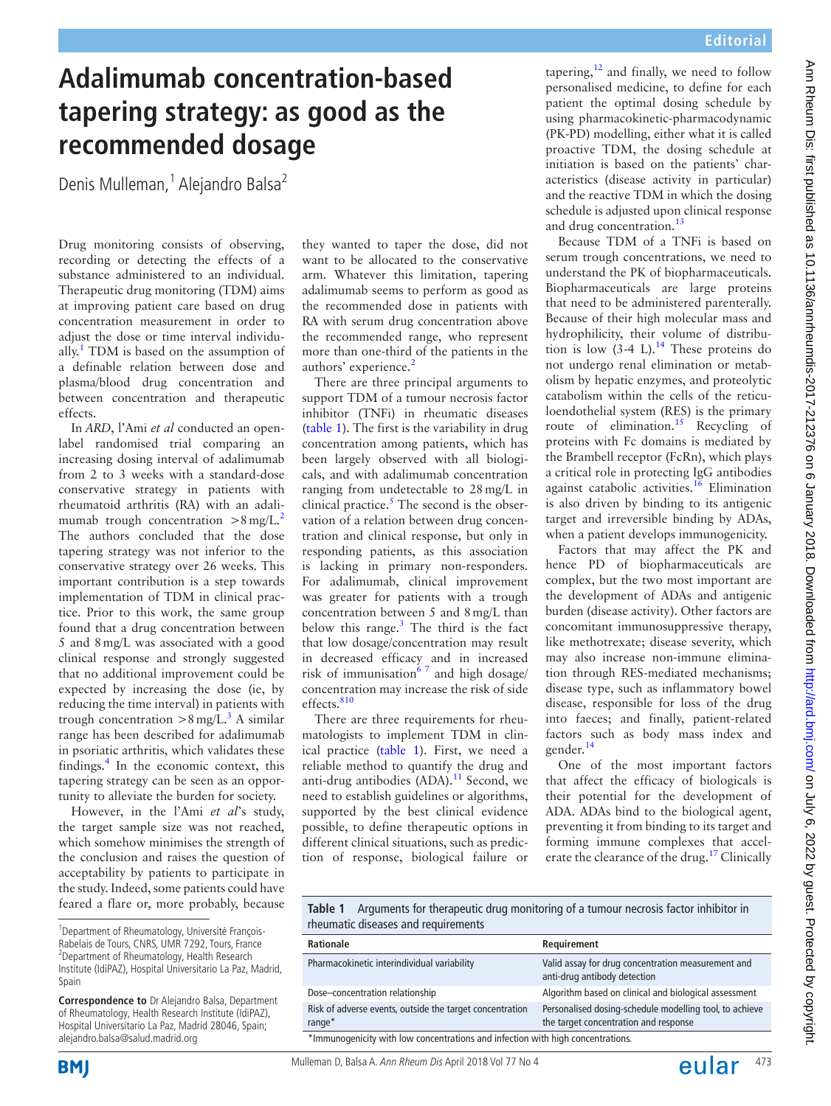## **Adalimumab concentration-based tapering strategy: as good as the recommended dosage**

Denis Mulleman,<sup>1</sup> Alejandro Balsa<sup>2</sup>

Drug monitoring consists of observing, recording or detecting the effects of a substance administered to an individual. Therapeutic drug monitoring (TDM) aims at improving patient care based on drug concentration measurement in order to adjust the dose or time interval individually.<sup>1</sup> TDM is based on the assumption of a definable relation between dose and plasma/blood drug concentration and between concentration and therapeutic effects.

In *ARD*, l'Ami *et al* conducted an openlabel randomised trial comparing an increasing dosing interval of adalimumab from 2 to 3 weeks with a standard-dose conservative strategy in patients with rheumatoid arthritis (RA) with an adalimumab trough concentration  $>8$  mg/L.<sup>[2](#page-1-1)</sup> The authors concluded that the dose tapering strategy was not inferior to the conservative strategy over 26 weeks. This important contribution is a step towards implementation of TDM in clinical practice. Prior to this work, the same group found that a drug concentration between 5 and 8mg/L was associated with a good clinical response and strongly suggested that no additional improvement could be expected by increasing the dose (ie, by reducing the time interval) in patients with trough concentration  $>8 \text{ mg/L}^3$  $>8 \text{ mg/L}^3$ . A similar range has been described for adalimumab in psoriatic arthritis, which validates these findings.<sup>[4](#page-2-1)</sup> In the economic context, this tapering strategy can be seen as an opportunity to alleviate the burden for society.

However, in the l'Ami *et al*'s study, the target sample size was not reached, which somehow minimises the strength of the conclusion and raises the question of acceptability by patients to participate in the study. Indeed, some patients could have feared a flare or, more probably, because

**Correspondence to** Dr Alejandro Balsa, Department of Rheumatology, Health Research Institute (IdiPAZ), Hospital Universitario La Paz, Madrid 28046, Spain; alejandro.balsa@salud.madrid.org

they wanted to taper the dose, did not want to be allocated to the conservative arm. Whatever this limitation, tapering adalimumab seems to perform as good as the recommended dose in patients with RA with serum drug concentration above the recommended range, who represent more than one-third of the patients in the authors' experience.<sup>[2](#page-1-1)</sup>

There are three principal arguments to support TDM of a tumour necrosis factor inhibitor (TNFi) in rheumatic diseases ([table](#page-0-0) 1). The first is the variability in drug concentration among patients, which has been largely observed with all biologicals, and with adalimumab concentration ranging from undetectable to 28mg/L in clinical practice.<sup>5</sup> The second is the observation of a relation between drug concentration and clinical response, but only in responding patients, as this association is lacking in primary non-responders. For adalimumab, clinical improvement was greater for patients with a trough concentration between 5 and 8mg/L than below this range. $3$  The third is the fact that low dosage/concentration may result in decreased efficacy and in increased risk of immunisation<sup>67</sup> and high dosage/ concentration may increase the risk of side effects.<sup>[810](#page-2-4)</sup>

There are three requirements for rheumatologists to implement TDM in clinical practice ([table](#page-0-0) 1). First, we need a reliable method to quantify the drug and anti-drug antibodies (ADA).<sup>[11](#page-2-5)</sup> Second, we need to establish guidelines or algorithms, supported by the best clinical evidence possible, to define therapeutic options in different clinical situations, such as prediction of response, biological failure or tapering, $12$  and finally, we need to follow personalised medicine, to define for each patient the optimal dosing schedule by using pharmacokinetic-pharmacodynamic (PK-PD) modelling, either what it is called proactive TDM, the dosing schedule at initiation is based on the patients' characteristics (disease activity in particular) and the reactive TDM in which the dosing schedule is adjusted upon clinical response and drug concentration.<sup>13</sup>

Because TDM of a TNFi is based on serum trough concentrations, we need to understand the PK of biopharmaceuticals. Biopharmaceuticals are large proteins that need to be administered parenterally. Because of their high molecular mass and hydrophilicity, their volume of distribution is low  $(3-4 L)$ .<sup>14</sup> These proteins do not undergo renal elimination or metabolism by hepatic enzymes, and proteolytic catabolism within the cells of the reticuloendothelial system (RES) is the primary route of elimination.<sup>[15](#page-2-9)</sup> Recycling of proteins with Fc domains is mediated by the Brambell receptor (FcRn), which plays a critical role in protecting IgG antibodies against catabolic activities.<sup>16</sup> Elimination is also driven by binding to its antigenic target and irreversible binding by ADAs, when a patient develops immunogenicity.

Factors that may affect the PK and hence PD of biopharmaceuticals are complex, but the two most important are the development of ADAs and antigenic burden (disease activity). Other factors are concomitant immunosuppressive therapy, like methotrexate; disease severity, which may also increase non-immune elimination through RES-mediated mechanisms; disease type, such as inflammatory bowel disease, responsible for loss of the drug into faeces; and finally, patient-related factors such as body mass index and gender.<sup>[14](#page-2-8)</sup>

One of the most important factors that affect the efficacy of biologicals is their potential for the development of ADA. ADAs bind to the biological agent, preventing it from binding to its target and forming immune complexes that accelerate the clearance of the drug.<sup>17</sup> Clinically

<span id="page-0-0"></span>**Table 1** Arguments for therapeutic drug monitoring of a tumour necrosis factor inhibitor in rheumatic diseases and requirements

| Rationale                                                                       | Requirement                                                                                      |
|---------------------------------------------------------------------------------|--------------------------------------------------------------------------------------------------|
| Pharmacokinetic interindividual variability                                     | Valid assay for drug concentration measurement and<br>anti-drug antibody detection               |
| Dose-concentration relationship                                                 | Algorithm based on clinical and biological assessment                                            |
| Risk of adverse events, outside the target concentration<br>range*              | Personalised dosing-schedule modelling tool, to achieve<br>the target concentration and response |
| *Immunogenicity with low concentrations and infection with high concentrations. |                                                                                                  |

<sup>&</sup>lt;sup>1</sup>Department of Rheumatology, Université François-Rabelais de Tours, CNRS, UMR 7292, Tours, France <sup>2</sup> Department of Rheumatology, Health Research Institute (IdiPAZ), Hospital Universitario La Paz, Madrid, Spain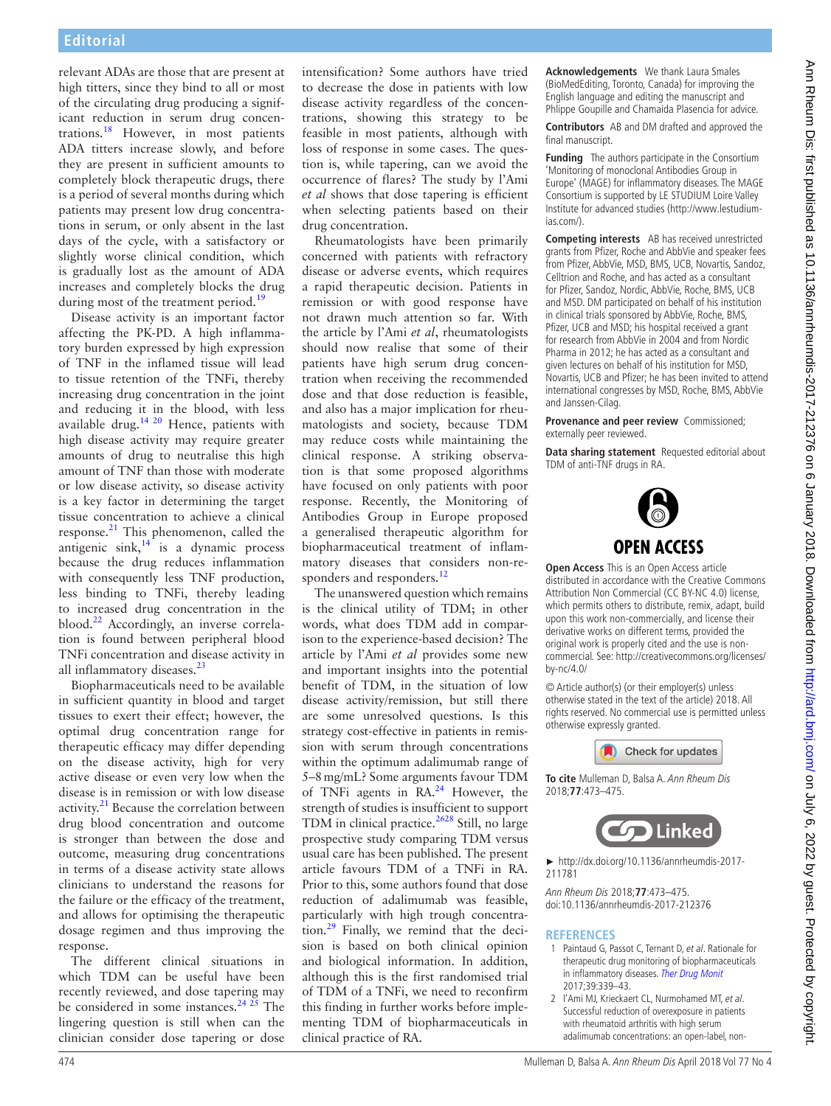relevant ADAs are those that are present at high titters, since they bind to all or most of the circulating drug producing a significant reduction in serum drug concentrations.[18](#page-2-12) However, in most patients ADA titters increase slowly, and before they are present in sufficient amounts to completely block therapeutic drugs, there is a period of several months during which patients may present low drug concentrations in serum, or only absent in the last days of the cycle, with a satisfactory or slightly worse clinical condition, which is gradually lost as the amount of ADA increases and completely blocks the drug during most of the treatment period.<sup>[19](#page-2-13)</sup>

Disease activity is an important factor affecting the PK-PD. A high inflammatory burden expressed by high expression of TNF in the inflamed tissue will lead to tissue retention of the TNFi, thereby increasing drug concentration in the joint and reducing it in the blood, with less available drug.<sup>[14 20](#page-2-8)</sup> Hence, patients with high disease activity may require greater amounts of drug to neutralise this high amount of TNF than those with moderate or low disease activity, so disease activity is a key factor in determining the target tissue concentration to achieve a clinical response.<sup>21</sup> This phenomenon, called the antigenic  $sink$ ,  $14$  is a dynamic process because the drug reduces inflammation with consequently less TNF production, less binding to TNFi, thereby leading to increased drug concentration in the blood.[22](#page-2-15) Accordingly, an inverse correlation is found between peripheral blood TNFi concentration and disease activity in all inflammatory diseases.<sup>[23](#page-2-16)</sup>

Biopharmaceuticals need to be available in sufficient quantity in blood and target tissues to exert their effect; however, the optimal drug concentration range for therapeutic efficacy may differ depending on the disease activity, high for very active disease or even very low when the disease is in remission or with low disease activity. $21$  Because the correlation between drug blood concentration and outcome is stronger than between the dose and outcome, measuring drug concentrations in terms of a disease activity state allows clinicians to understand the reasons for the failure or the efficacy of the treatment, and allows for optimising the therapeutic dosage regimen and thus improving the response.

The different clinical situations in which TDM can be useful have been recently reviewed, and dose tapering may be considered in some instances.<sup>24  $25$ </sup> The lingering question is still when can the clinician consider dose tapering or dose intensification? Some authors have tried to decrease the dose in patients with low disease activity regardless of the concentrations, showing this strategy to be feasible in most patients, although with loss of response in some cases. The question is, while tapering, can we avoid the occurrence of flares? The study by l'Ami *et al* shows that dose tapering is efficient when selecting patients based on their drug concentration.

Rheumatologists have been primarily concerned with patients with refractory disease or adverse events, which requires a rapid therapeutic decision. Patients in remission or with good response have not drawn much attention so far. With the article by l'Ami *et al*, rheumatologists should now realise that some of their patients have high serum drug concentration when receiving the recommended dose and that dose reduction is feasible, and also has a major implication for rheumatologists and society, because TDM may reduce costs while maintaining the clinical response. A striking observation is that some proposed algorithms have focused on only patients with poor response. Recently, the Monitoring of Antibodies Group in Europe proposed a generalised therapeutic algorithm for biopharmaceutical treatment of inflammatory diseases that considers non-re-sponders and responders.<sup>[12](#page-2-6)</sup>

The unanswered question which remains is the clinical utility of TDM; in other words, what does TDM add in comparison to the experience-based decision? The article by l'Ami *et al* provides some new and important insights into the potential benefit of TDM, in the situation of low disease activity/remission, but still there are some unresolved questions. Is this strategy cost-effective in patients in remission with serum through concentrations within the optimum adalimumab range of 5–8mg/mL? Some arguments favour TDM of TNFi agents in RA.<sup>24</sup> However, the strength of studies is insufficient to support TDM in clinical practice.<sup>2628</sup> Still, no large prospective study comparing TDM versus usual care has been published. The present article favours TDM of a TNFi in RA. Prior to this, some authors found that dose reduction of adalimumab was feasible, particularly with high trough concentration[.29](#page-2-19) Finally, we remind that the decision is based on both clinical opinion and biological information. In addition, although this is the first randomised trial of TDM of a TNFi, we need to reconfirm this finding in further works before implementing TDM of biopharmaceuticals in clinical practice of RA.

**Acknowledgements** We thank Laura Smales (BioMedEditing, Toronto, Canada) for improving the English language and editing the manuscript and Phlippe Goupille and Chamaida Plasencia for advice.

**Contributors** AB and DM drafted and approved the final manuscript.

**Funding** The authors participate in the Consortium 'Monitoring of monoclonal Antibodies Group in Europe' (MAGE) for inflammatory diseases. The MAGE Consortium is supported by LE STUDIUM Loire Valley Institute for advanced studies ([http://www.lestudium](http://www.lestudium-ias.com/)[ias.com/](http://www.lestudium-ias.com/)).

**Competing interests** AB has received unrestricted grants from Pfizer, Roche and AbbVie and speaker fees from Pfizer, AbbVie, MSD, BMS, UCB, Novartis, Sandoz, Celltrion and Roche, and has acted as a consultant for Pfizer, Sandoz, Nordic, AbbVie, Roche, BMS, UCB and MSD. DM participated on behalf of his institution in clinical trials sponsored by AbbVie, Roche, BMS, Pfizer, UCB and MSD; his hospital received a grant for research from AbbVie in 2004 and from Nordic Pharma in 2012; he has acted as a consultant and given lectures on behalf of his institution for MSD, Novartis, UCB and Pfizer; he has been invited to attend international congresses by MSD, Roche, BMS, AbbVie and Janssen-Cilag.

**Provenance and peer review** Commissioned: externally peer reviewed.

**Data sharing statement** Requested editorial about TDM of anti-TNF drugs in RA.



**Open Access** This is an Open Access article distributed in accordance with the Creative Commons Attribution Non Commercial (CC BY-NC 4.0) license, which permits others to distribute, remix, adapt, build upon this work non-commercially, and license their derivative works on different terms, provided the original work is properly cited and the use is noncommercial. See: [http://creativecommons.org/licenses/](http://creativecommons.org/licenses/by-nc/4.0/) [by-nc/4.0/](http://creativecommons.org/licenses/by-nc/4.0/)

© Article author(s) (or their employer(s) unless otherwise stated in the text of the article) 2018. All rights reserved. No commercial use is permitted unless otherwise expressly granted.



**To cite** Mulleman D, Balsa A. Ann Rheum Dis 2018;**77**:473–475.



► [http://dx.doi.org/10.1136/annrheumdis-2017-](http://dx.doi.org/10.1136/annrheumdis-2017-211781) [211781](http://dx.doi.org/10.1136/annrheumdis-2017-211781)

Ann Rheum Dis 2018;**77**:473–475. doi:10.1136/annrheumdis-2017-212376

## **References**

- <span id="page-1-0"></span>1 Paintaud G, Passot C, Ternant D, et al. Rationale for therapeutic drug monitoring of biopharmaceuticals in inflammatory diseases. [Ther Drug Monit](http://dx.doi.org/10.1097/FTD.0000000000000410) 2017;39:339–43.
- <span id="page-1-1"></span>2 l'Ami MJ, Krieckaert CL, Nurmohamed MT, et al. Successful reduction of overexposure in patients with rheumatoid arthritis with high serum adalimumab concentrations: an open-label, non-